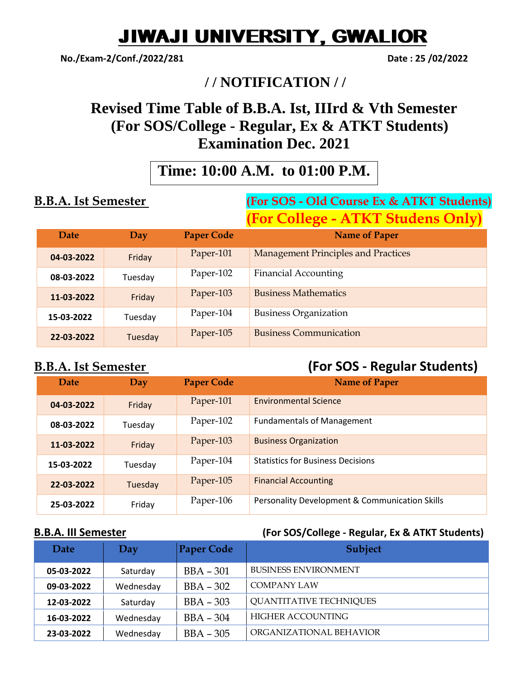# JIWAJI UNIVERSITY, GWALIOR

**No./Exam-2/Conf./2022/281 Date : 25 /02/2022**

## **/ / NOTIFICATION / /**

# **Revised Time Table of B.B.A. Ist, IIIrd & Vth Semester (For SOS/College - Regular, Ex & ATKT Students) Examination Dec. 2021**

# **Time: 10:00 A.M. to 01:00 P.M.**

### **B.B.A. Ist Semester (For SOS - Old Course Ex & ATKT Students) (For College - ATKT Studens Only)**

| Date       | Day     | <b>Paper Code</b> | $J$ $\prime$<br><b>Name of Paper</b>       |
|------------|---------|-------------------|--------------------------------------------|
| 04-03-2022 | Friday  | Paper-101         | <b>Management Principles and Practices</b> |
| 08-03-2022 | Tuesday | Paper-102         | <b>Financial Accounting</b>                |
| 11-03-2022 | Friday  | Paper-103         | <b>Business Mathematics</b>                |
| 15-03-2022 | Tuesday | Paper-104         | <b>Business Organization</b>               |
| 22-03-2022 | Tuesday | Paper-105         | <b>Business Communication</b>              |

### **B.B.A. Ist Semester (For SOS - Regular Students)**

| Date       | Day     | <b>Paper Code</b> | <b>Name of Paper</b>                           |
|------------|---------|-------------------|------------------------------------------------|
| 04-03-2022 | Friday  | Paper-101         | <b>Environmental Science</b>                   |
| 08-03-2022 | Tuesday | Paper-102         | <b>Fundamentals of Management</b>              |
| 11-03-2022 | Friday  | Paper-103         | <b>Business Organization</b>                   |
| 15-03-2022 | Tuesday | Paper-104         | <b>Statistics for Business Decisions</b>       |
| 22-03-2022 | Tuesday | Paper-105         | <b>Financial Accounting</b>                    |
| 25-03-2022 | Friday  | Paper-106         | Personality Development & Communication Skills |

### **B.B.A. III Semester (For SOS/College - Regular, Ex & ATKT Students)**

| Date       | Day       | <b>Paper Code</b> | <b>Subject</b>                 |
|------------|-----------|-------------------|--------------------------------|
| 05-03-2022 | Saturday  | $BBA - 301$       | <b>BUSINESS ENVIRONMENT</b>    |
| 09-03-2022 | Wednesday | $BBA - 302$       | COMPANY LAW                    |
| 12-03-2022 | Saturday  | $BBA - 303$       | <b>QUANTITATIVE TECHNIQUES</b> |
| 16-03-2022 | Wednesday | $BBA - 304$       | HIGHER ACCOUNTING              |
| 23-03-2022 | Wednesday | $BBA - 305$       | ORGANIZATIONAL BEHAVIOR        |